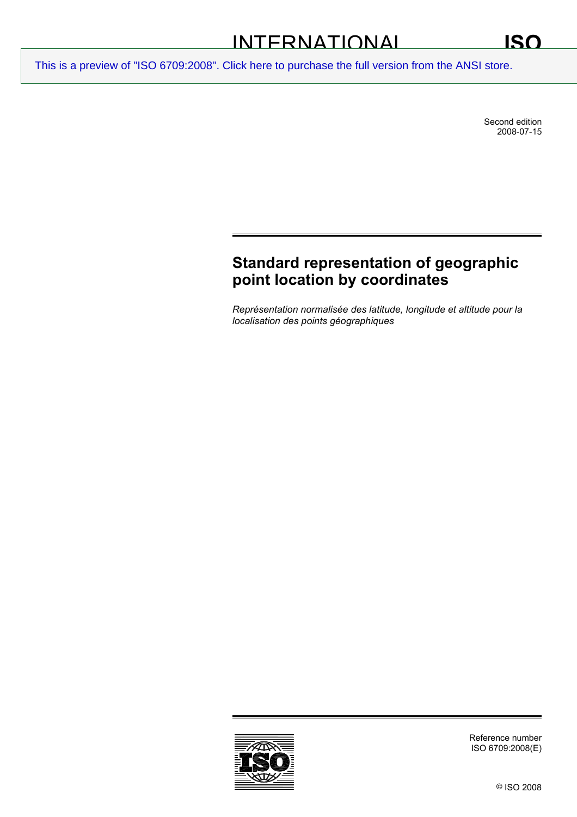Second edition 2008-07-15

# **Standard representation of geographic point location by coordinates**

*Représentation normalisée des latitude, longitude et altitude pour la localisation des points géographiques* 



Reference number ISO 6709:2008(E)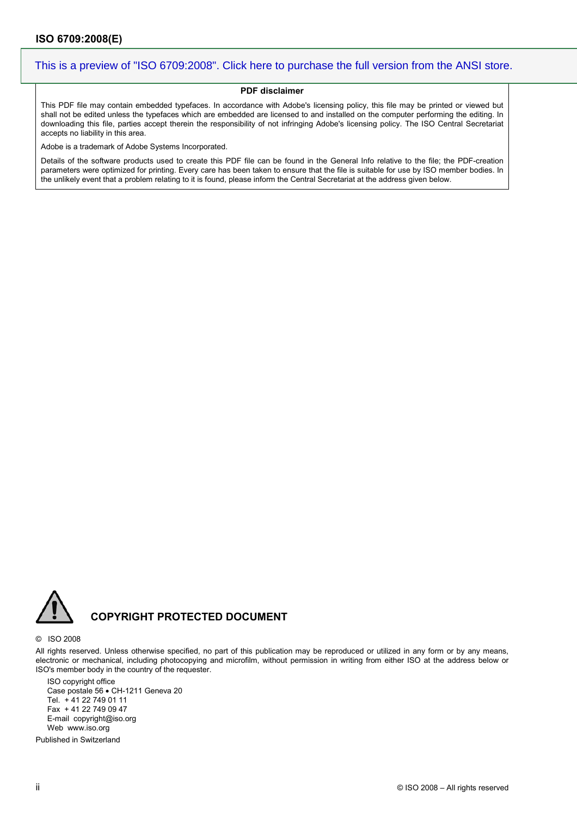#### **PDF disclaimer**

This PDF file may contain embedded typefaces. In accordance with Adobe's licensing policy, this file may be printed or viewed but shall not be edited unless the typefaces which are embedded are licensed to and installed on the computer performing the editing. In downloading this file, parties accept therein the responsibility of not infringing Adobe's licensing policy. The ISO Central Secretariat accepts no liability in this area.

Adobe is a trademark of Adobe Systems Incorporated.

Details of the software products used to create this PDF file can be found in the General Info relative to the file; the PDF-creation parameters were optimized for printing. Every care has been taken to ensure that the file is suitable for use by ISO member bodies. In the unlikely event that a problem relating to it is found, please inform the Central Secretariat at the address given below.



### **COPYRIGHT PROTECTED DOCUMENT**

#### © ISO 2008

All rights reserved. Unless otherwise specified, no part of this publication may be reproduced or utilized in any form or by any means, electronic or mechanical, including photocopying and microfilm, without permission in writing from either ISO at the address below or ISO's member body in the country of the requester.

ISO copyright office Case postale 56 • CH-1211 Geneva 20 Tel. + 41 22 749 01 11 Fax + 41 22 749 09 47 E-mail copyright@iso.org Web www.iso.org

Published in Switzerland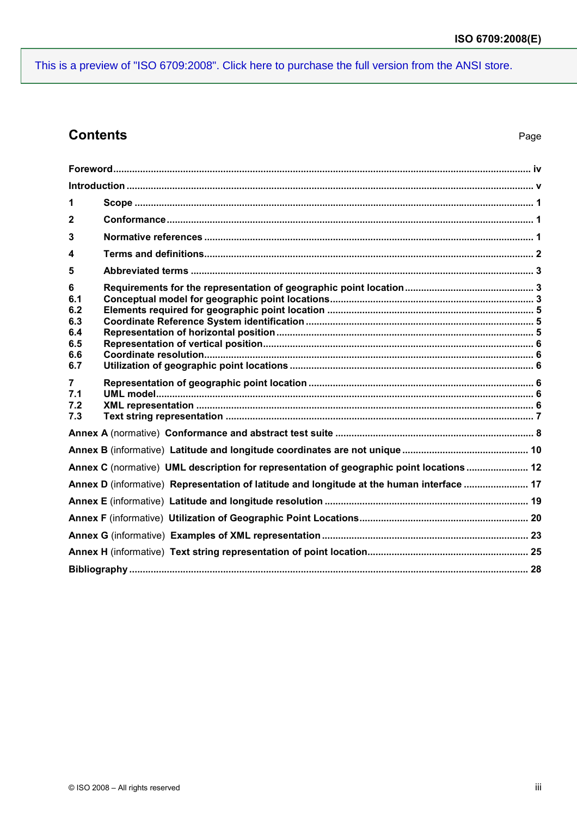## **Contents**

| 1                                                  |                                                                                           |  |
|----------------------------------------------------|-------------------------------------------------------------------------------------------|--|
| $\mathbf{2}$                                       |                                                                                           |  |
| 3                                                  |                                                                                           |  |
| 4                                                  |                                                                                           |  |
| 5                                                  |                                                                                           |  |
| 6<br>6.1<br>6.2<br>6.3<br>6.4<br>6.5<br>6.6<br>6.7 |                                                                                           |  |
| $\overline{7}$<br>7.1<br>7.2<br>7.3                |                                                                                           |  |
|                                                    |                                                                                           |  |
|                                                    |                                                                                           |  |
|                                                    | Annex C (normative) UML description for representation of geographic point locations  12  |  |
|                                                    | Annex D (informative) Representation of latitude and longitude at the human interface  17 |  |
|                                                    |                                                                                           |  |
|                                                    |                                                                                           |  |
|                                                    |                                                                                           |  |
|                                                    |                                                                                           |  |
|                                                    |                                                                                           |  |
|                                                    |                                                                                           |  |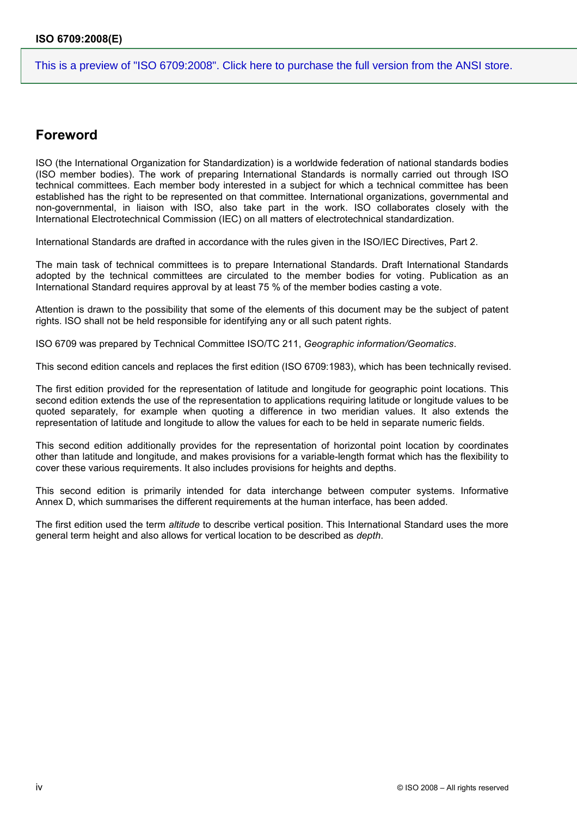## **Foreword**

ISO (the International Organization for Standardization) is a worldwide federation of national standards bodies (ISO member bodies). The work of preparing International Standards is normally carried out through ISO technical committees. Each member body interested in a subject for which a technical committee has been established has the right to be represented on that committee. International organizations, governmental and non-governmental, in liaison with ISO, also take part in the work. ISO collaborates closely with the International Electrotechnical Commission (IEC) on all matters of electrotechnical standardization.

International Standards are drafted in accordance with the rules given in the ISO/IEC Directives, Part 2.

The main task of technical committees is to prepare International Standards. Draft International Standards adopted by the technical committees are circulated to the member bodies for voting. Publication as an International Standard requires approval by at least 75 % of the member bodies casting a vote.

Attention is drawn to the possibility that some of the elements of this document may be the subject of patent rights. ISO shall not be held responsible for identifying any or all such patent rights.

ISO 6709 was prepared by Technical Committee ISO/TC 211, *Geographic information/Geomatics*.

This second edition cancels and replaces the first edition (ISO 6709:1983), which has been technically revised.

The first edition provided for the representation of latitude and longitude for geographic point locations. This second edition extends the use of the representation to applications requiring latitude or longitude values to be quoted separately, for example when quoting a difference in two meridian values. It also extends the representation of latitude and longitude to allow the values for each to be held in separate numeric fields.

This second edition additionally provides for the representation of horizontal point location by coordinates other than latitude and longitude, and makes provisions for a variable-length format which has the flexibility to cover these various requirements. It also includes provisions for heights and depths.

This second edition is primarily intended for data interchange between computer systems. Informative Annex D, which summarises the different requirements at the human interface, has been added.

The first edition used the term *altitude* to describe vertical position. This International Standard uses the more general term height and also allows for vertical location to be described as *depth*.